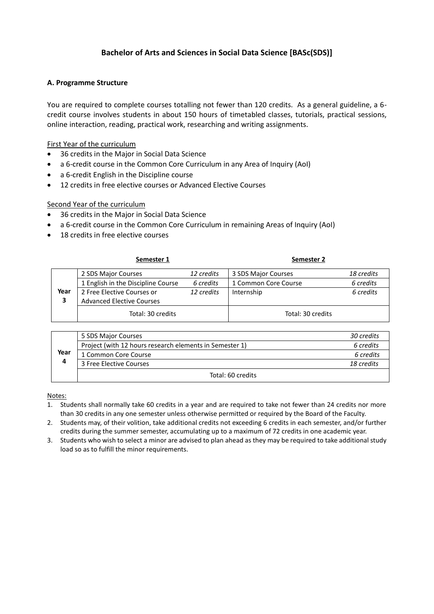# **Bachelor of Arts and Sciences in Social Data Science [BASc(SDS)]**

## **A. Programme Structure**

You are required to complete courses totalling not fewer than 120 credits. As a general guideline, a 6 credit course involves students in about 150 hours of timetabled classes, tutorials, practical sessions, online interaction, reading, practical work, researching and writing assignments.

First Year of the curriculum

- 36 credits in the Major in Social Data Science
- a 6-credit course in the Common Core Curriculum in any Area of Inquiry (AoI)
- a 6-credit English in the Discipline course
- 12 credits in free elective courses or Advanced Elective Courses

## Second Year of the curriculum

- 36 credits in the Major in Social Data Science
- a 6-credit course in the Common Core Curriculum in remaining Areas of Inquiry (AoI)
- 18 credits in free elective courses

|      | Semester 1                         |            | Semester 2           |            |
|------|------------------------------------|------------|----------------------|------------|
|      | 2 SDS Major Courses                | 12 credits | 3 SDS Major Courses  | 18 credits |
|      | 1 English in the Discipline Course | 6 credits  | 1 Common Core Course | 6 credits  |
| Year | 2 Free Elective Courses or         | 12 credits | Internship           | 6 credits  |
| 3    | <b>Advanced Elective Courses</b>   |            |                      |            |
|      | Total: 30 credits                  |            | Total: 30 credits    |            |

| Year<br>4 | 5 SDS Major Courses                                     | 30 credits |
|-----------|---------------------------------------------------------|------------|
|           | Project (with 12 hours research elements in Semester 1) | 6 credits  |
|           | 1 Common Core Course                                    | 6 credits  |
|           | 3 Free Elective Courses                                 | 18 credits |
|           | Total: 60 credits                                       |            |

Notes:

- 1. Students shall normally take 60 credits in a year and are required to take not fewer than 24 credits nor more than 30 credits in any one semester unless otherwise permitted or required by the Board of the Faculty.
- 2. Students may, of their volition, take additional credits not exceeding 6 credits in each semester, and/or further credits during the summer semester, accumulating up to a maximum of 72 credits in one academic year.
- 3. Students who wish to select a minor are advised to plan ahead as they may be required to take additional study load so as to fulfill the minor requirements.